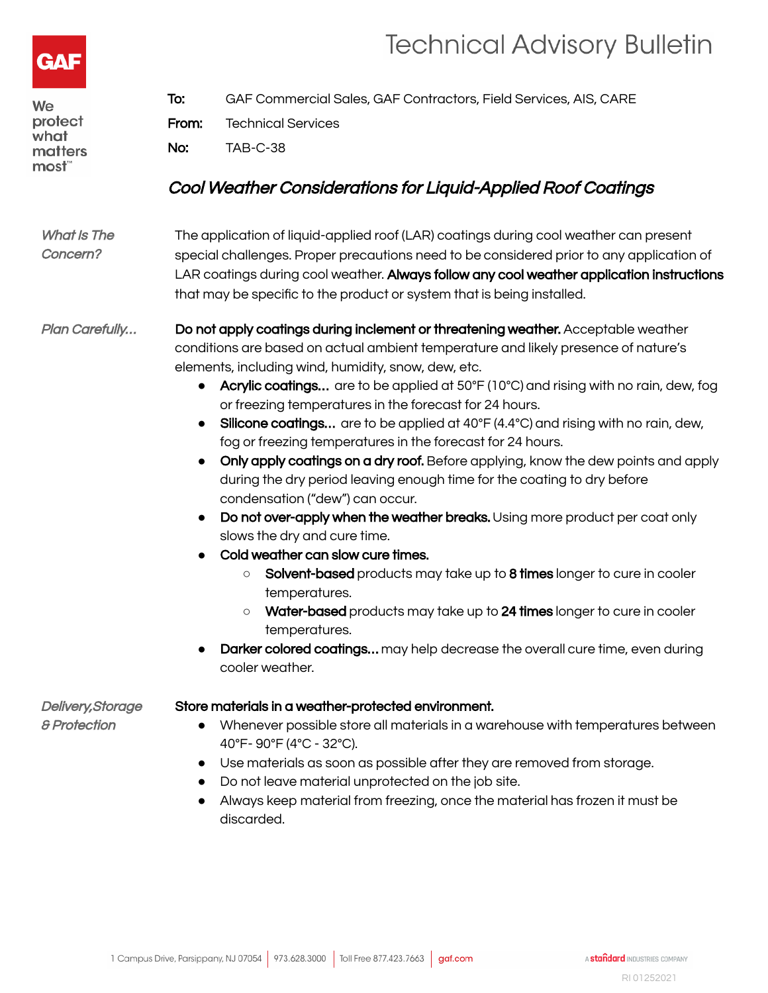



| We<br>protect<br>what<br>matters<br>most"    | To:<br>From:<br>No:                                                                                                                                                                                                                                                                                                                                      | GAF Commercial Sales, GAF Contractors, Field Services, AIS, CARE<br><b>Technical Services</b><br><b>TAB-C-38</b>                                                                                                                                                                                                                                                                                                                                                                                                                                                                                                                                                                                                                                                                                                                                                                                                                                                                                                                                                                                                                                                                                                    |
|----------------------------------------------|----------------------------------------------------------------------------------------------------------------------------------------------------------------------------------------------------------------------------------------------------------------------------------------------------------------------------------------------------------|---------------------------------------------------------------------------------------------------------------------------------------------------------------------------------------------------------------------------------------------------------------------------------------------------------------------------------------------------------------------------------------------------------------------------------------------------------------------------------------------------------------------------------------------------------------------------------------------------------------------------------------------------------------------------------------------------------------------------------------------------------------------------------------------------------------------------------------------------------------------------------------------------------------------------------------------------------------------------------------------------------------------------------------------------------------------------------------------------------------------------------------------------------------------------------------------------------------------|
|                                              |                                                                                                                                                                                                                                                                                                                                                          | Cool Weather Considerations for Liquid-Applied Roof Coatings                                                                                                                                                                                                                                                                                                                                                                                                                                                                                                                                                                                                                                                                                                                                                                                                                                                                                                                                                                                                                                                                                                                                                        |
| <b>What Is The</b><br>Concern?               | The application of liquid-applied roof (LAR) coatings during cool weather can present<br>special challenges. Proper precautions need to be considered prior to any application of<br>LAR coatings during cool weather. Always follow any cool weather application instructions<br>that may be specific to the product or system that is being installed. |                                                                                                                                                                                                                                                                                                                                                                                                                                                                                                                                                                                                                                                                                                                                                                                                                                                                                                                                                                                                                                                                                                                                                                                                                     |
| Plan Carefully                               | $\bullet$                                                                                                                                                                                                                                                                                                                                                | Do not apply coatings during inclement or threatening weather. Acceptable weather<br>conditions are based on actual ambient temperature and likely presence of nature's<br>elements, including wind, humidity, snow, dew, etc.<br>Acrylic coatings are to be applied at 50°F (10°C) and rising with no rain, dew, fog<br>or freezing temperatures in the forecast for 24 hours.<br>Silicone coatings are to be applied at 40°F (4.4°C) and rising with no rain, dew,<br>fog or freezing temperatures in the forecast for 24 hours.<br>Only apply coatings on a dry roof. Before applying, know the dew points and apply<br>during the dry period leaving enough time for the coating to dry before<br>condensation ("dew") can occur.<br>Do not over-apply when the weather breaks. Using more product per coat only<br>slows the dry and cure time.<br>Cold weather can slow cure times.<br>Solvent-based products may take up to 8 times longer to cure in cooler<br>$\circlearrowright$<br>temperatures.<br>Water-based products may take up to 24 times longer to cure in cooler<br>$\circ$<br>temperatures.<br>Darker colored coatings may help decrease the overall cure time, even during<br>cooler weather. |
| Delivery, Storage<br><b>&amp; Protection</b> | $\bullet$<br>$\bullet$<br>$\bullet$                                                                                                                                                                                                                                                                                                                      | Store materials in a weather-protected environment.<br>Whenever possible store all materials in a warehouse with temperatures between<br>40°F-90°F (4°C - 32°C).<br>Use materials as soon as possible after they are removed from storage.<br>Do not leave material unprotected on the job site.<br>Always keep material from freezing, once the material has frozen it must be<br>discarded.                                                                                                                                                                                                                                                                                                                                                                                                                                                                                                                                                                                                                                                                                                                                                                                                                       |